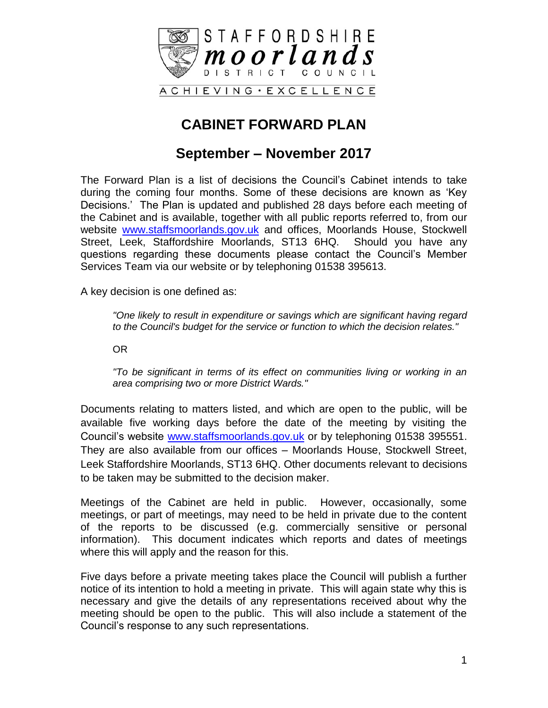

## **CABINET FORWARD PLAN**

#### **September – November 2017**

The Forward Plan is a list of decisions the Council's Cabinet intends to take during the coming four months. Some of these decisions are known as 'Key Decisions.' The Plan is updated and published 28 days before each meeting of the Cabinet and is available, together with all public reports referred to, from our website [www.staffsmoorlands.gov.uk](http://www.staffsmoorlands.gov.uk/) and offices, Moorlands House, Stockwell Street, Leek, Staffordshire Moorlands, ST13 6HQ. Should you have any questions regarding these documents please contact the Council's Member Services Team via our website or by telephoning 01538 395613.

A key decision is one defined as:

*"One likely to result in expenditure or savings which are significant having regard to the Council's budget for the service or function to which the decision relates."*

OR

*"To be significant in terms of its effect on communities living or working in an area comprising two or more District Wards."*

Documents relating to matters listed, and which are open to the public, will be available five working days before the date of the meeting by visiting the Council's website [www.staffsmoorlands.gov.uk](http://www.staffsmoorlands.gov.uk/) or by telephoning 01538 395551. They are also available from our offices – Moorlands House, Stockwell Street, Leek Staffordshire Moorlands, ST13 6HQ. Other documents relevant to decisions to be taken may be submitted to the decision maker.

Meetings of the Cabinet are held in public. However, occasionally, some meetings, or part of meetings, may need to be held in private due to the content of the reports to be discussed (e.g. commercially sensitive or personal information). This document indicates which reports and dates of meetings where this will apply and the reason for this.

Five days before a private meeting takes place the Council will publish a further notice of its intention to hold a meeting in private. This will again state why this is necessary and give the details of any representations received about why the meeting should be open to the public. This will also include a statement of the Council's response to any such representations.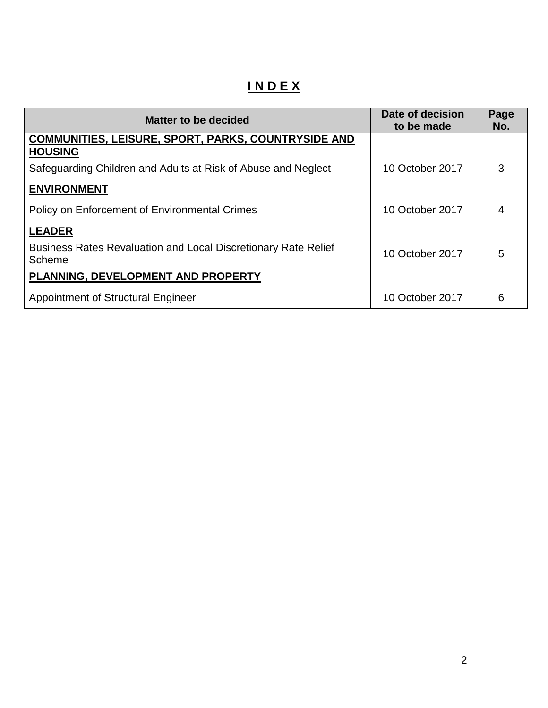# **I N D E X**

| <b>Matter to be decided</b>                                                     | Date of decision<br>to be made | Page<br>No. |
|---------------------------------------------------------------------------------|--------------------------------|-------------|
| <b>COMMUNITIES, LEISURE, SPORT, PARKS, COUNTRYSIDE AND</b><br><b>HOUSING</b>    |                                |             |
| Safeguarding Children and Adults at Risk of Abuse and Neglect                   | 10 October 2017                | 3           |
| <b>ENVIRONMENT</b>                                                              |                                |             |
| Policy on Enforcement of Environmental Crimes                                   | 10 October 2017                | 4           |
| <b>LEADER</b>                                                                   |                                |             |
| <b>Business Rates Revaluation and Local Discretionary Rate Relief</b><br>Scheme | 10 October 2017                | 5           |
| PLANNING, DEVELOPMENT AND PROPERTY                                              |                                |             |
| <b>Appointment of Structural Engineer</b>                                       | 10 October 2017                | 6           |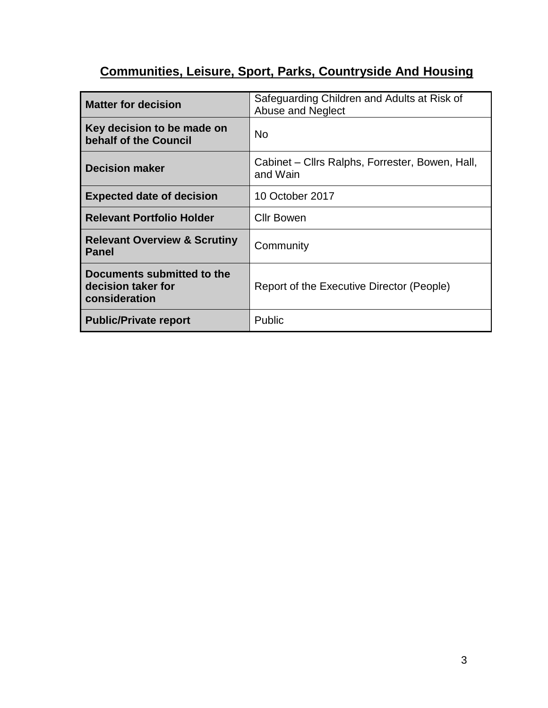# **Communities, Leisure, Sport, Parks, Countryside And Housing**

| <b>Matter for decision</b>                                        | Safeguarding Children and Adults at Risk of<br>Abuse and Neglect |
|-------------------------------------------------------------------|------------------------------------------------------------------|
| Key decision to be made on<br>behalf of the Council               | <b>No</b>                                                        |
| <b>Decision maker</b>                                             | Cabinet – Cllrs Ralphs, Forrester, Bowen, Hall,<br>and Wain      |
| <b>Expected date of decision</b>                                  | 10 October 2017                                                  |
| <b>Relevant Portfolio Holder</b>                                  | <b>Cllr Bowen</b>                                                |
| <b>Relevant Overview &amp; Scrutiny</b><br><b>Panel</b>           | Community                                                        |
| Documents submitted to the<br>decision taker for<br>consideration | Report of the Executive Director (People)                        |
| <b>Public/Private report</b>                                      | <b>Public</b>                                                    |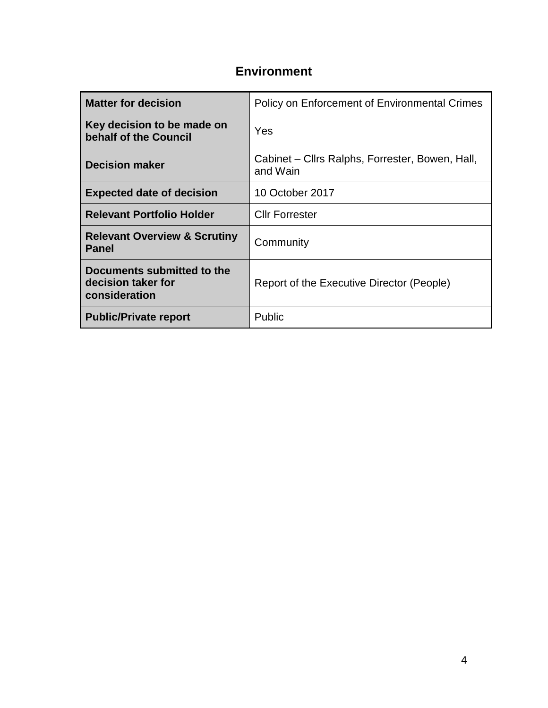#### **Environment**

| <b>Matter for decision</b>                                        | Policy on Enforcement of Environmental Crimes               |
|-------------------------------------------------------------------|-------------------------------------------------------------|
| Key decision to be made on<br>behalf of the Council               | Yes                                                         |
| <b>Decision maker</b>                                             | Cabinet – Cllrs Ralphs, Forrester, Bowen, Hall,<br>and Wain |
| <b>Expected date of decision</b>                                  | 10 October 2017                                             |
| <b>Relevant Portfolio Holder</b>                                  | <b>Cllr Forrester</b>                                       |
| <b>Relevant Overview &amp; Scrutiny</b><br><b>Panel</b>           | Community                                                   |
| Documents submitted to the<br>decision taker for<br>consideration | Report of the Executive Director (People)                   |
| <b>Public/Private report</b>                                      | Public                                                      |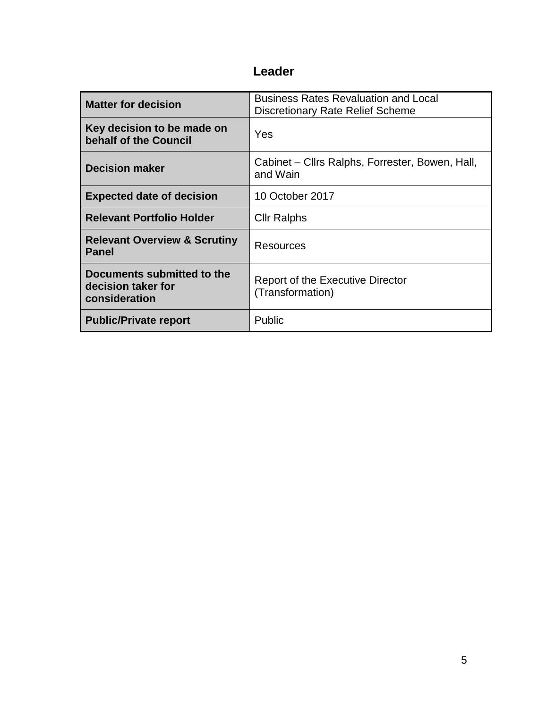### **Leader**

| <b>Matter for decision</b>                                        | <b>Business Rates Revaluation and Local</b><br><b>Discretionary Rate Relief Scheme</b> |
|-------------------------------------------------------------------|----------------------------------------------------------------------------------------|
| Key decision to be made on<br>behalf of the Council               | Yes                                                                                    |
| <b>Decision maker</b>                                             | Cabinet – Cllrs Ralphs, Forrester, Bowen, Hall,<br>and Wain                            |
| <b>Expected date of decision</b>                                  | 10 October 2017                                                                        |
| <b>Relevant Portfolio Holder</b>                                  | <b>Cllr Ralphs</b>                                                                     |
| <b>Relevant Overview &amp; Scrutiny</b><br><b>Panel</b>           | Resources                                                                              |
| Documents submitted to the<br>decision taker for<br>consideration | Report of the Executive Director<br>(Transformation)                                   |
| <b>Public/Private report</b>                                      | Public                                                                                 |